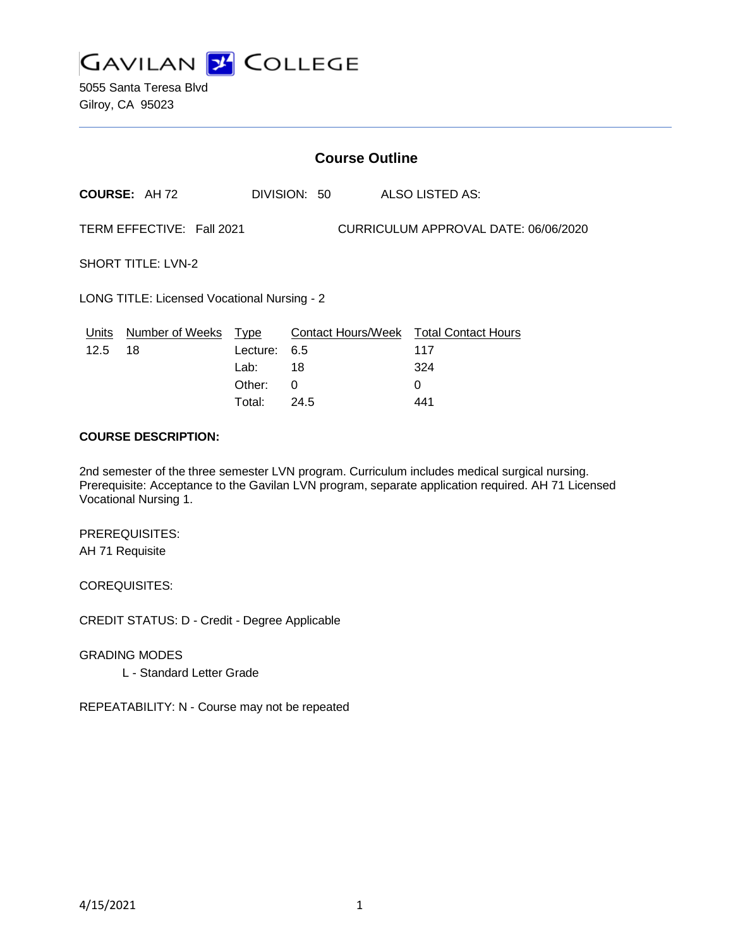

5055 Santa Teresa Blvd Gilroy, CA 95023

|                                                                   | <b>Course Outline</b> |                  |              |  |                                        |  |  |
|-------------------------------------------------------------------|-----------------------|------------------|--------------|--|----------------------------------------|--|--|
|                                                                   | <b>COURSE: AH72</b>   |                  | DIVISION: 50 |  | ALSO LISTED AS:                        |  |  |
| TERM EFFECTIVE: Fall 2021<br>CURRICULUM APPROVAL DATE: 06/06/2020 |                       |                  |              |  |                                        |  |  |
| <b>SHORT TITLE: LVN-2</b>                                         |                       |                  |              |  |                                        |  |  |
| LONG TITLE: Licensed Vocational Nursing - 2                       |                       |                  |              |  |                                        |  |  |
| Units                                                             | Number of Weeks Type  |                  |              |  | Contact Hours/Week Total Contact Hours |  |  |
| 12.5                                                              | 18                    | Lecture:<br>Lab: | 6.5<br>18    |  | 117<br>324                             |  |  |
|                                                                   |                       | Other:           | 0            |  | 0                                      |  |  |

Total: 24.5 441

#### **COURSE DESCRIPTION:**

2nd semester of the three semester LVN program. Curriculum includes medical surgical nursing. Prerequisite: Acceptance to the Gavilan LVN program, separate application required. AH 71 Licensed Vocational Nursing 1.

PREREQUISITES: AH 71 Requisite

COREQUISITES:

CREDIT STATUS: D - Credit - Degree Applicable

GRADING MODES

L - Standard Letter Grade

REPEATABILITY: N - Course may not be repeated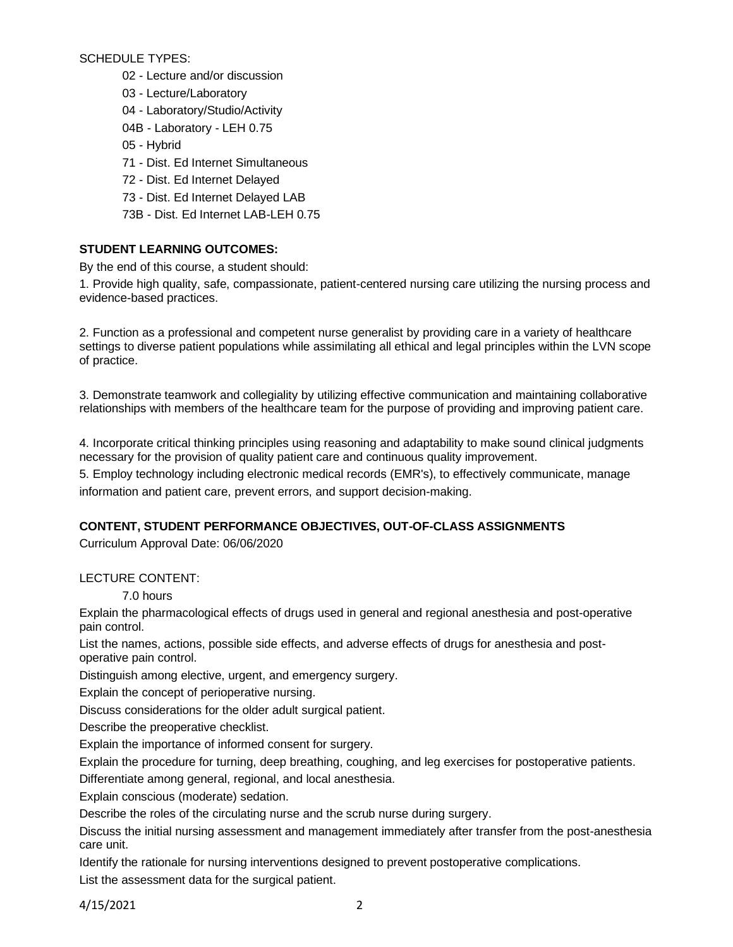SCHEDULE TYPES:

- 02 Lecture and/or discussion
- 03 Lecture/Laboratory
- 04 Laboratory/Studio/Activity
- 04B Laboratory LEH 0.75
- 05 Hybrid
- 71 Dist. Ed Internet Simultaneous
- 72 Dist. Ed Internet Delayed
- 73 Dist. Ed Internet Delayed LAB
- 73B Dist. Ed Internet LAB-LEH 0.75

# **STUDENT LEARNING OUTCOMES:**

By the end of this course, a student should:

1. Provide high quality, safe, compassionate, patient-centered nursing care utilizing the nursing process and evidence-based practices.

2. Function as a professional and competent nurse generalist by providing care in a variety of healthcare settings to diverse patient populations while assimilating all ethical and legal principles within the LVN scope of practice.

3. Demonstrate teamwork and collegiality by utilizing effective communication and maintaining collaborative relationships with members of the healthcare team for the purpose of providing and improving patient care.

4. Incorporate critical thinking principles using reasoning and adaptability to make sound clinical judgments necessary for the provision of quality patient care and continuous quality improvement.

5. Employ technology including electronic medical records (EMR's), to effectively communicate, manage information and patient care, prevent errors, and support decision-making.

# **CONTENT, STUDENT PERFORMANCE OBJECTIVES, OUT-OF-CLASS ASSIGNMENTS**

Curriculum Approval Date: 06/06/2020

# LECTURE CONTENT:

7.0 hours

Explain the pharmacological effects of drugs used in general and regional anesthesia and post-operative pain control.

List the names, actions, possible side effects, and adverse effects of drugs for anesthesia and postoperative pain control.

Distinguish among elective, urgent, and emergency surgery.

Explain the concept of perioperative nursing.

Discuss considerations for the older adult surgical patient.

Describe the preoperative checklist.

Explain the importance of informed consent for surgery.

Explain the procedure for turning, deep breathing, coughing, and leg exercises for postoperative patients.

Differentiate among general, regional, and local anesthesia.

Explain conscious (moderate) sedation.

Describe the roles of the circulating nurse and the scrub nurse during surgery.

Discuss the initial nursing assessment and management immediately after transfer from the post-anesthesia care unit.

Identify the rationale for nursing interventions designed to prevent postoperative complications. List the assessment data for the surgical patient.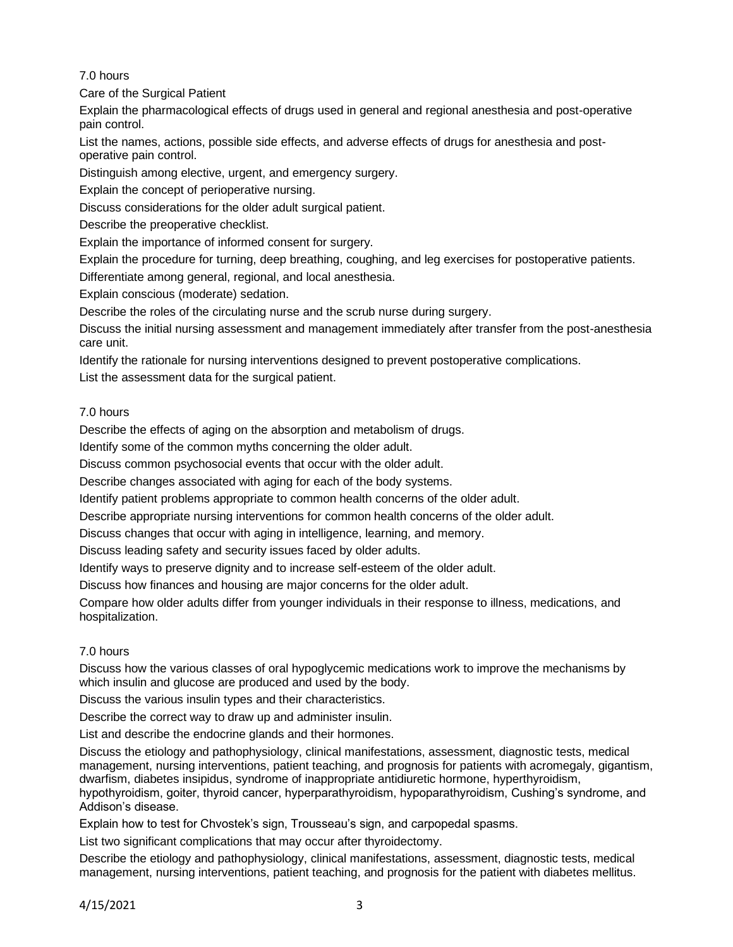# 7.0 hours

Care of the Surgical Patient

Explain the pharmacological effects of drugs used in general and regional anesthesia and post-operative pain control.

List the names, actions, possible side effects, and adverse effects of drugs for anesthesia and postoperative pain control.

Distinguish among elective, urgent, and emergency surgery.

Explain the concept of perioperative nursing.

Discuss considerations for the older adult surgical patient.

Describe the preoperative checklist.

Explain the importance of informed consent for surgery.

Explain the procedure for turning, deep breathing, coughing, and leg exercises for postoperative patients.

Differentiate among general, regional, and local anesthesia.

Explain conscious (moderate) sedation.

Describe the roles of the circulating nurse and the scrub nurse during surgery.

Discuss the initial nursing assessment and management immediately after transfer from the post-anesthesia care unit.

Identify the rationale for nursing interventions designed to prevent postoperative complications.

List the assessment data for the surgical patient.

## 7.0 hours

Describe the effects of aging on the absorption and metabolism of drugs.

Identify some of the common myths concerning the older adult.

Discuss common psychosocial events that occur with the older adult.

Describe changes associated with aging for each of the body systems.

Identify patient problems appropriate to common health concerns of the older adult.

Describe appropriate nursing interventions for common health concerns of the older adult.

Discuss changes that occur with aging in intelligence, learning, and memory.

Discuss leading safety and security issues faced by older adults.

Identify ways to preserve dignity and to increase self-esteem of the older adult.

Discuss how finances and housing are major concerns for the older adult.

Compare how older adults differ from younger individuals in their response to illness, medications, and hospitalization.

# 7.0 hours

Discuss how the various classes of oral hypoglycemic medications work to improve the mechanisms by which insulin and glucose are produced and used by the body.

Discuss the various insulin types and their characteristics.

Describe the correct way to draw up and administer insulin.

List and describe the endocrine glands and their hormones.

Discuss the etiology and pathophysiology, clinical manifestations, assessment, diagnostic tests, medical management, nursing interventions, patient teaching, and prognosis for patients with acromegaly, gigantism, dwarfism, diabetes insipidus, syndrome of inappropriate antidiuretic hormone, hyperthyroidism, hypothyroidism, goiter, thyroid cancer, hyperparathyroidism, hypoparathyroidism, Cushing's syndrome, and Addison's disease.

Explain how to test for Chvostek's sign, Trousseau's sign, and carpopedal spasms.

List two significant complications that may occur after thyroidectomy.

Describe the etiology and pathophysiology, clinical manifestations, assessment, diagnostic tests, medical management, nursing interventions, patient teaching, and prognosis for the patient with diabetes mellitus.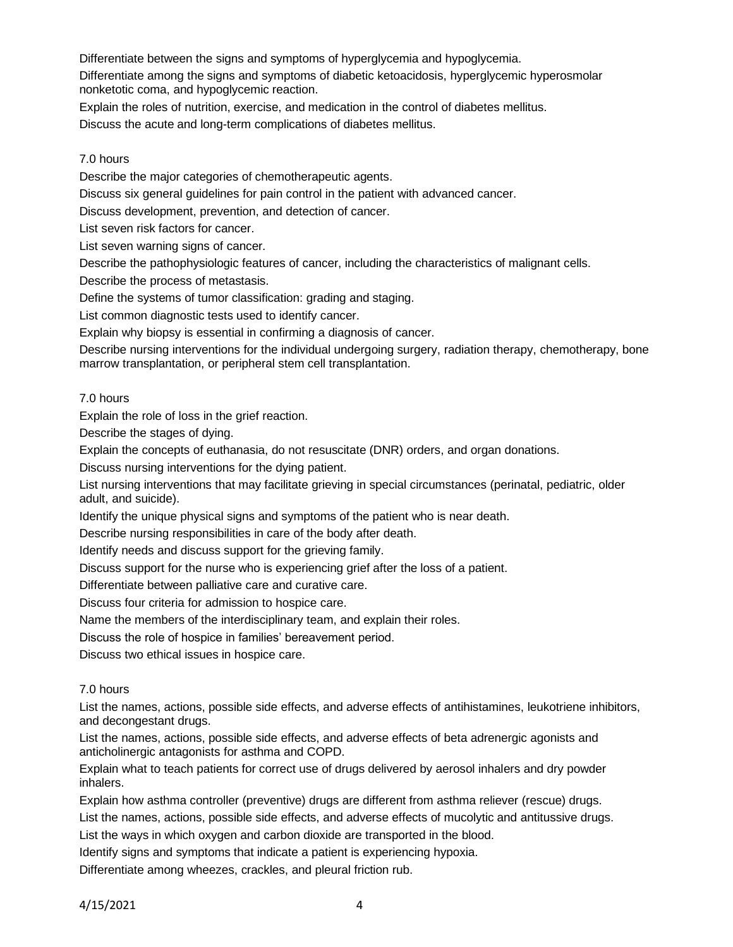Differentiate between the signs and symptoms of hyperglycemia and hypoglycemia.

Differentiate among the signs and symptoms of diabetic ketoacidosis, hyperglycemic hyperosmolar nonketotic coma, and hypoglycemic reaction.

Explain the roles of nutrition, exercise, and medication in the control of diabetes mellitus.

Discuss the acute and long-term complications of diabetes mellitus.

#### 7.0 hours

Describe the major categories of chemotherapeutic agents.

Discuss six general guidelines for pain control in the patient with advanced cancer.

Discuss development, prevention, and detection of cancer.

List seven risk factors for cancer.

List seven warning signs of cancer.

Describe the pathophysiologic features of cancer, including the characteristics of malignant cells.

Describe the process of metastasis.

Define the systems of tumor classification: grading and staging.

List common diagnostic tests used to identify cancer.

Explain why biopsy is essential in confirming a diagnosis of cancer.

Describe nursing interventions for the individual undergoing surgery, radiation therapy, chemotherapy, bone marrow transplantation, or peripheral stem cell transplantation.

#### 7.0 hours

Explain the role of loss in the grief reaction.

Describe the stages of dying.

Explain the concepts of euthanasia, do not resuscitate (DNR) orders, and organ donations.

Discuss nursing interventions for the dying patient.

List nursing interventions that may facilitate grieving in special circumstances (perinatal, pediatric, older adult, and suicide).

Identify the unique physical signs and symptoms of the patient who is near death.

Describe nursing responsibilities in care of the body after death.

Identify needs and discuss support for the grieving family.

Discuss support for the nurse who is experiencing grief after the loss of a patient.

Differentiate between palliative care and curative care.

Discuss four criteria for admission to hospice care.

Name the members of the interdisciplinary team, and explain their roles.

Discuss the role of hospice in families' bereavement period.

Discuss two ethical issues in hospice care.

### 7.0 hours

List the names, actions, possible side effects, and adverse effects of antihistamines, leukotriene inhibitors, and decongestant drugs.

List the names, actions, possible side effects, and adverse effects of beta adrenergic agonists and anticholinergic antagonists for asthma and COPD.

Explain what to teach patients for correct use of drugs delivered by aerosol inhalers and dry powder inhalers.

Explain how asthma controller (preventive) drugs are different from asthma reliever (rescue) drugs.

List the names, actions, possible side effects, and adverse effects of mucolytic and antitussive drugs.

List the ways in which oxygen and carbon dioxide are transported in the blood.

Identify signs and symptoms that indicate a patient is experiencing hypoxia.

Differentiate among wheezes, crackles, and pleural friction rub.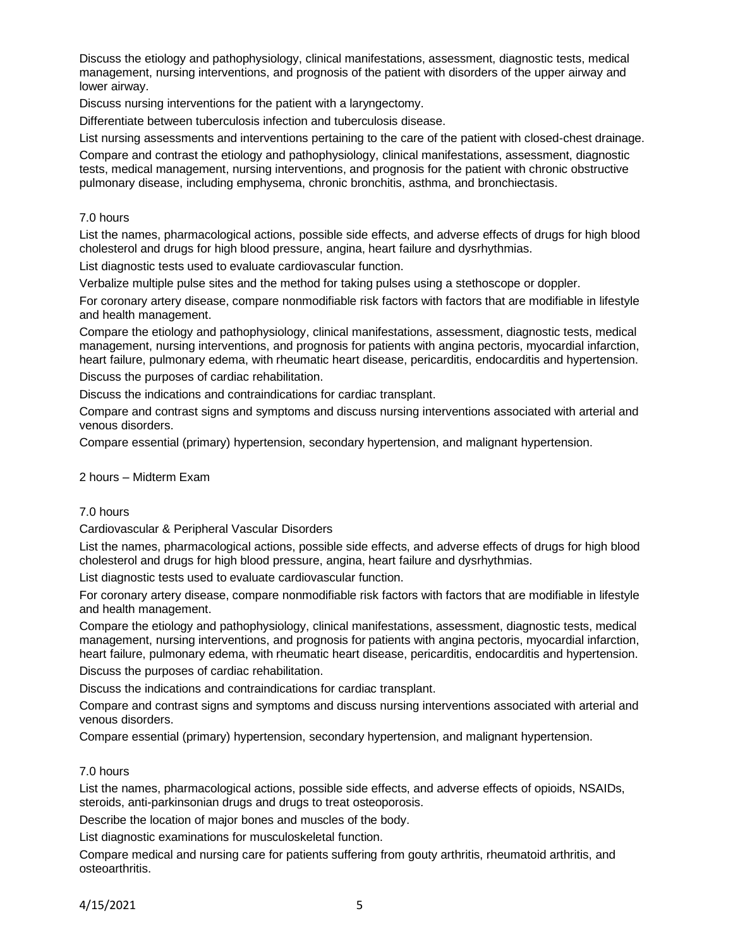Discuss the etiology and pathophysiology, clinical manifestations, assessment, diagnostic tests, medical management, nursing interventions, and prognosis of the patient with disorders of the upper airway and lower airway.

Discuss nursing interventions for the patient with a laryngectomy.

Differentiate between tuberculosis infection and tuberculosis disease.

List nursing assessments and interventions pertaining to the care of the patient with closed-chest drainage.

Compare and contrast the etiology and pathophysiology, clinical manifestations, assessment, diagnostic tests, medical management, nursing interventions, and prognosis for the patient with chronic obstructive pulmonary disease, including emphysema, chronic bronchitis, asthma, and bronchiectasis.

#### 7.0 hours

List the names, pharmacological actions, possible side effects, and adverse effects of drugs for high blood cholesterol and drugs for high blood pressure, angina, heart failure and dysrhythmias.

List diagnostic tests used to evaluate cardiovascular function.

Verbalize multiple pulse sites and the method for taking pulses using a stethoscope or doppler.

For coronary artery disease, compare nonmodifiable risk factors with factors that are modifiable in lifestyle and health management.

Compare the etiology and pathophysiology, clinical manifestations, assessment, diagnostic tests, medical management, nursing interventions, and prognosis for patients with angina pectoris, myocardial infarction, heart failure, pulmonary edema, with rheumatic heart disease, pericarditis, endocarditis and hypertension.

Discuss the purposes of cardiac rehabilitation.

Discuss the indications and contraindications for cardiac transplant.

Compare and contrast signs and symptoms and discuss nursing interventions associated with arterial and venous disorders.

Compare essential (primary) hypertension, secondary hypertension, and malignant hypertension.

#### 2 hours – Midterm Exam

## 7.0 hours

Cardiovascular & Peripheral Vascular Disorders

List the names, pharmacological actions, possible side effects, and adverse effects of drugs for high blood cholesterol and drugs for high blood pressure, angina, heart failure and dysrhythmias.

List diagnostic tests used to evaluate cardiovascular function.

For coronary artery disease, compare nonmodifiable risk factors with factors that are modifiable in lifestyle and health management.

Compare the etiology and pathophysiology, clinical manifestations, assessment, diagnostic tests, medical management, nursing interventions, and prognosis for patients with angina pectoris, myocardial infarction, heart failure, pulmonary edema, with rheumatic heart disease, pericarditis, endocarditis and hypertension. Discuss the purposes of cardiac rehabilitation.

Discuss the indications and contraindications for cardiac transplant.

Compare and contrast signs and symptoms and discuss nursing interventions associated with arterial and venous disorders.

Compare essential (primary) hypertension, secondary hypertension, and malignant hypertension.

### 7.0 hours

List the names, pharmacological actions, possible side effects, and adverse effects of opioids, NSAIDs, steroids, anti-parkinsonian drugs and drugs to treat osteoporosis.

Describe the location of major bones and muscles of the body.

List diagnostic examinations for musculoskeletal function.

Compare medical and nursing care for patients suffering from gouty arthritis, rheumatoid arthritis, and osteoarthritis.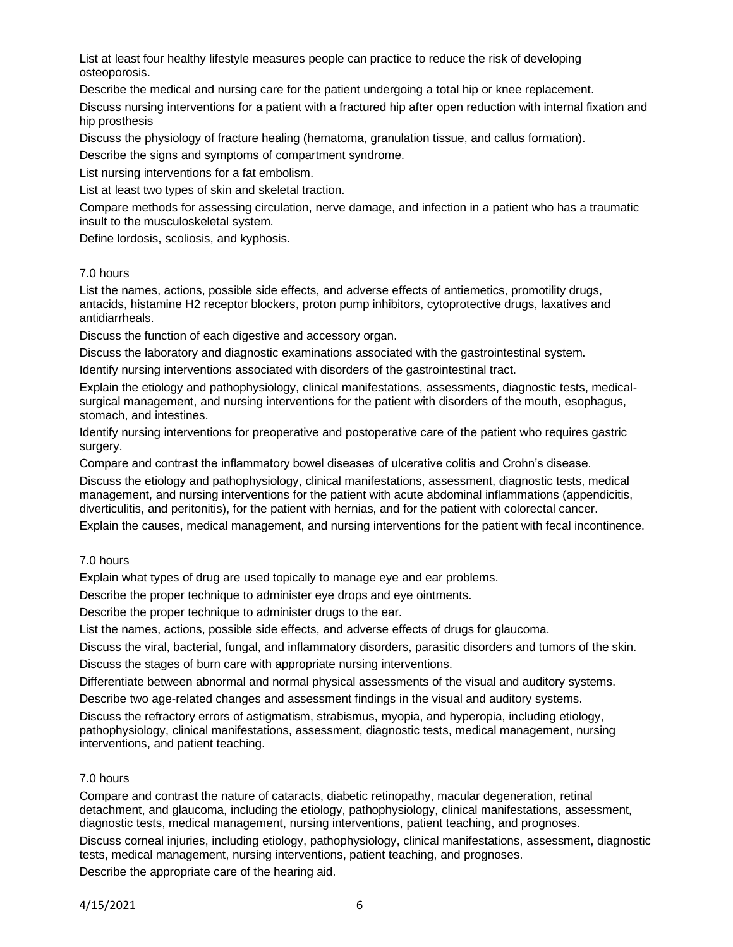List at least four healthy lifestyle measures people can practice to reduce the risk of developing osteoporosis.

Describe the medical and nursing care for the patient undergoing a total hip or knee replacement.

Discuss nursing interventions for a patient with a fractured hip after open reduction with internal fixation and hip prosthesis

Discuss the physiology of fracture healing (hematoma, granulation tissue, and callus formation).

Describe the signs and symptoms of compartment syndrome.

List nursing interventions for a fat embolism.

List at least two types of skin and skeletal traction.

Compare methods for assessing circulation, nerve damage, and infection in a patient who has a traumatic insult to the musculoskeletal system.

Define lordosis, scoliosis, and kyphosis.

## 7.0 hours

List the names, actions, possible side effects, and adverse effects of antiemetics, promotility drugs, antacids, histamine H2 receptor blockers, proton pump inhibitors, cytoprotective drugs, laxatives and antidiarrheals.

Discuss the function of each digestive and accessory organ.

Discuss the laboratory and diagnostic examinations associated with the gastrointestinal system.

Identify nursing interventions associated with disorders of the gastrointestinal tract.

Explain the etiology and pathophysiology, clinical manifestations, assessments, diagnostic tests, medicalsurgical management, and nursing interventions for the patient with disorders of the mouth, esophagus, stomach, and intestines.

Identify nursing interventions for preoperative and postoperative care of the patient who requires gastric surgery.

Compare and contrast the inflammatory bowel diseases of ulcerative colitis and Crohn's disease.

Discuss the etiology and pathophysiology, clinical manifestations, assessment, diagnostic tests, medical management, and nursing interventions for the patient with acute abdominal inflammations (appendicitis, diverticulitis, and peritonitis), for the patient with hernias, and for the patient with colorectal cancer.

Explain the causes, medical management, and nursing interventions for the patient with fecal incontinence.

# 7.0 hours

Explain what types of drug are used topically to manage eye and ear problems.

Describe the proper technique to administer eye drops and eye ointments.

Describe the proper technique to administer drugs to the ear.

List the names, actions, possible side effects, and adverse effects of drugs for glaucoma.

Discuss the viral, bacterial, fungal, and inflammatory disorders, parasitic disorders and tumors of the skin.

Discuss the stages of burn care with appropriate nursing interventions.

Differentiate between abnormal and normal physical assessments of the visual and auditory systems.

Describe two age-related changes and assessment findings in the visual and auditory systems.

Discuss the refractory errors of astigmatism, strabismus, myopia, and hyperopia, including etiology, pathophysiology, clinical manifestations, assessment, diagnostic tests, medical management, nursing interventions, and patient teaching.

# 7.0 hours

Compare and contrast the nature of cataracts, diabetic retinopathy, macular degeneration, retinal detachment, and glaucoma, including the etiology, pathophysiology, clinical manifestations, assessment, diagnostic tests, medical management, nursing interventions, patient teaching, and prognoses. Discuss corneal injuries, including etiology, pathophysiology, clinical manifestations, assessment, diagnostic tests, medical management, nursing interventions, patient teaching, and prognoses.

Describe the appropriate care of the hearing aid.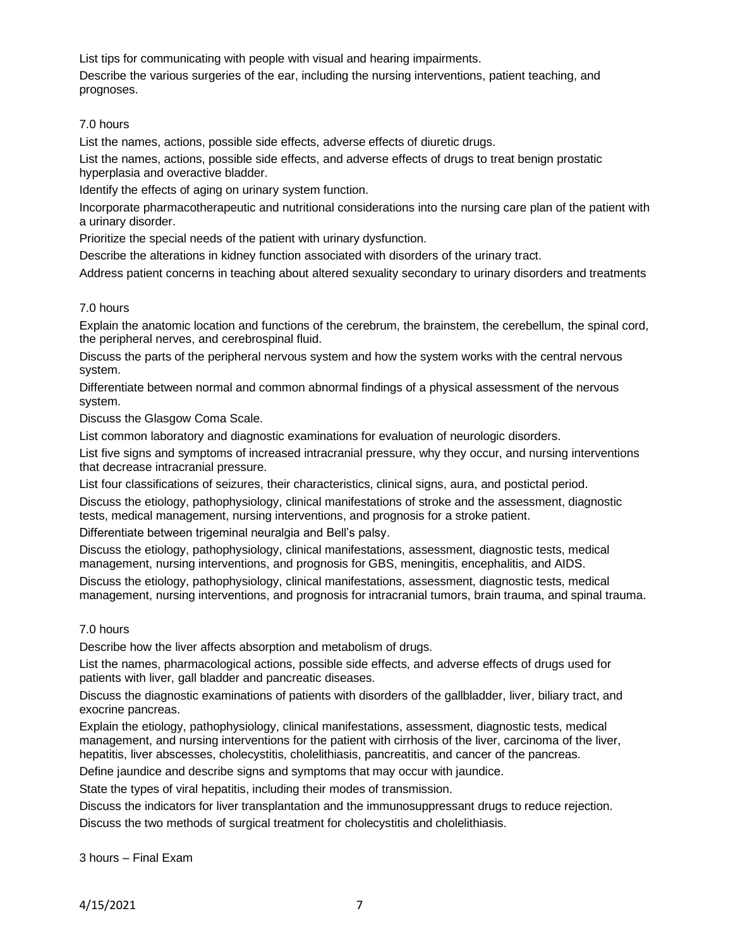List tips for communicating with people with visual and hearing impairments.

Describe the various surgeries of the ear, including the nursing interventions, patient teaching, and prognoses.

## 7.0 hours

List the names, actions, possible side effects, adverse effects of diuretic drugs.

List the names, actions, possible side effects, and adverse effects of drugs to treat benign prostatic hyperplasia and overactive bladder.

Identify the effects of aging on urinary system function.

Incorporate pharmacotherapeutic and nutritional considerations into the nursing care plan of the patient with a urinary disorder.

Prioritize the special needs of the patient with urinary dysfunction.

Describe the alterations in kidney function associated with disorders of the urinary tract.

Address patient concerns in teaching about altered sexuality secondary to urinary disorders and treatments

## 7.0 hours

Explain the anatomic location and functions of the cerebrum, the brainstem, the cerebellum, the spinal cord, the peripheral nerves, and cerebrospinal fluid.

Discuss the parts of the peripheral nervous system and how the system works with the central nervous system.

Differentiate between normal and common abnormal findings of a physical assessment of the nervous system.

Discuss the Glasgow Coma Scale.

List common laboratory and diagnostic examinations for evaluation of neurologic disorders.

List five signs and symptoms of increased intracranial pressure, why they occur, and nursing interventions that decrease intracranial pressure.

List four classifications of seizures, their characteristics, clinical signs, aura, and postictal period.

Discuss the etiology, pathophysiology, clinical manifestations of stroke and the assessment, diagnostic tests, medical management, nursing interventions, and prognosis for a stroke patient.

Differentiate between trigeminal neuralgia and Bell's palsy.

Discuss the etiology, pathophysiology, clinical manifestations, assessment, diagnostic tests, medical management, nursing interventions, and prognosis for GBS, meningitis, encephalitis, and AIDS.

Discuss the etiology, pathophysiology, clinical manifestations, assessment, diagnostic tests, medical management, nursing interventions, and prognosis for intracranial tumors, brain trauma, and spinal trauma.

# 7.0 hours

Describe how the liver affects absorption and metabolism of drugs.

List the names, pharmacological actions, possible side effects, and adverse effects of drugs used for patients with liver, gall bladder and pancreatic diseases.

Discuss the diagnostic examinations of patients with disorders of the gallbladder, liver, biliary tract, and exocrine pancreas.

Explain the etiology, pathophysiology, clinical manifestations, assessment, diagnostic tests, medical management, and nursing interventions for the patient with cirrhosis of the liver, carcinoma of the liver, hepatitis, liver abscesses, cholecystitis, cholelithiasis, pancreatitis, and cancer of the pancreas.

Define jaundice and describe signs and symptoms that may occur with jaundice.

State the types of viral hepatitis, including their modes of transmission.

Discuss the indicators for liver transplantation and the immunosuppressant drugs to reduce rejection. Discuss the two methods of surgical treatment for cholecystitis and cholelithiasis.

3 hours – Final Exam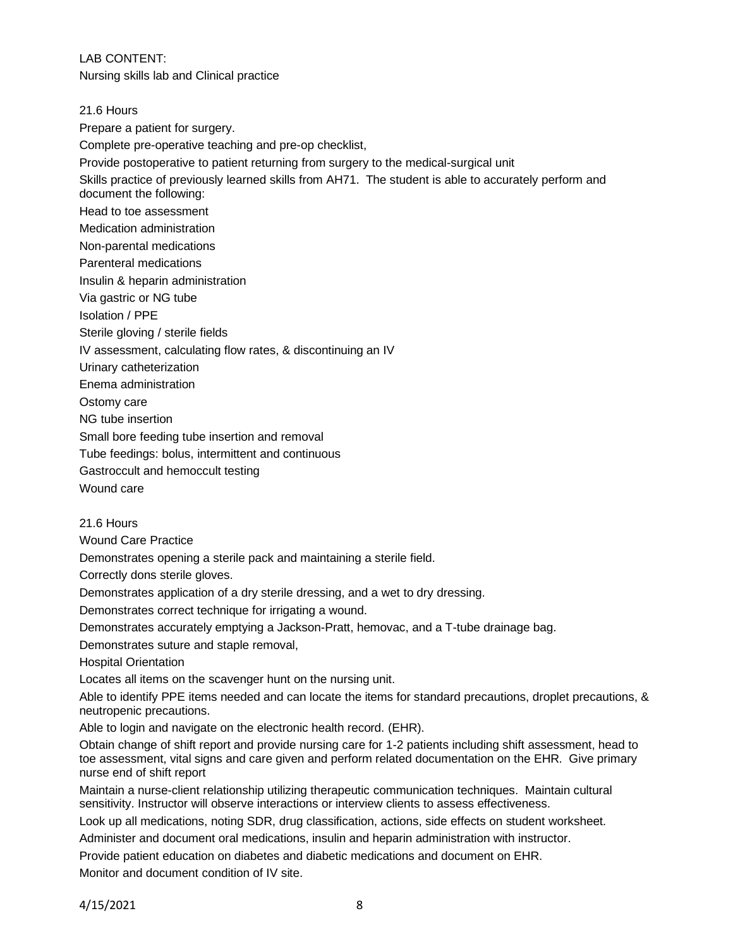LAB CONTENT:

Nursing skills lab and Clinical practice

### 21.6 Hours

Prepare a patient for surgery.

Complete pre-operative teaching and pre-op checklist,

Provide postoperative to patient returning from surgery to the medical-surgical unit

Skills practice of previously learned skills from AH71. The student is able to accurately perform and document the following:

Head to toe assessment

Medication administration

Non-parental medications

Parenteral medications

Insulin & heparin administration

Via gastric or NG tube

Isolation / PPE

Sterile gloving / sterile fields

IV assessment, calculating flow rates, & discontinuing an IV

Urinary catheterization

Enema administration

Ostomy care

NG tube insertion

Small bore feeding tube insertion and removal

Tube feedings: bolus, intermittent and continuous

Gastroccult and hemoccult testing

Wound care

### 21.6 Hours

Wound Care Practice

Demonstrates opening a sterile pack and maintaining a sterile field.

Correctly dons sterile gloves.

Demonstrates application of a dry sterile dressing, and a wet to dry dressing.

Demonstrates correct technique for irrigating a wound.

Demonstrates accurately emptying a Jackson-Pratt, hemovac, and a T-tube drainage bag.

Demonstrates suture and staple removal,

Hospital Orientation

Locates all items on the scavenger hunt on the nursing unit.

Able to identify PPE items needed and can locate the items for standard precautions, droplet precautions, & neutropenic precautions.

Able to login and navigate on the electronic health record. (EHR).

Obtain change of shift report and provide nursing care for 1-2 patients including shift assessment, head to toe assessment, vital signs and care given and perform related documentation on the EHR. Give primary nurse end of shift report

Maintain a nurse-client relationship utilizing therapeutic communication techniques. Maintain cultural sensitivity. Instructor will observe interactions or interview clients to assess effectiveness.

Look up all medications, noting SDR, drug classification, actions, side effects on student worksheet.

Administer and document oral medications, insulin and heparin administration with instructor.

Provide patient education on diabetes and diabetic medications and document on EHR. Monitor and document condition of IV site.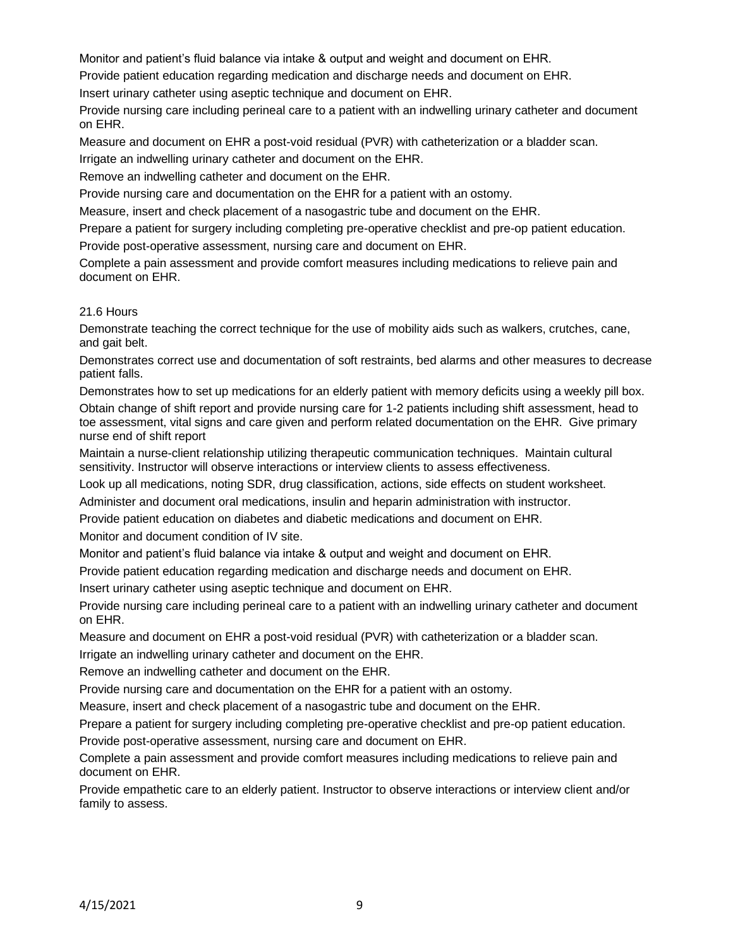Monitor and patient's fluid balance via intake & output and weight and document on EHR.

Provide patient education regarding medication and discharge needs and document on EHR.

Insert urinary catheter using aseptic technique and document on EHR.

Provide nursing care including perineal care to a patient with an indwelling urinary catheter and document on EHR.

Measure and document on EHR a post-void residual (PVR) with catheterization or a bladder scan.

Irrigate an indwelling urinary catheter and document on the EHR.

Remove an indwelling catheter and document on the EHR.

Provide nursing care and documentation on the EHR for a patient with an ostomy.

Measure, insert and check placement of a nasogastric tube and document on the EHR.

Prepare a patient for surgery including completing pre-operative checklist and pre-op patient education.

Provide post-operative assessment, nursing care and document on EHR.

Complete a pain assessment and provide comfort measures including medications to relieve pain and document on EHR.

## 21.6 Hours

Demonstrate teaching the correct technique for the use of mobility aids such as walkers, crutches, cane, and gait belt.

Demonstrates correct use and documentation of soft restraints, bed alarms and other measures to decrease patient falls.

Demonstrates how to set up medications for an elderly patient with memory deficits using a weekly pill box. Obtain change of shift report and provide nursing care for 1-2 patients including shift assessment, head to toe assessment, vital signs and care given and perform related documentation on the EHR. Give primary nurse end of shift report

Maintain a nurse-client relationship utilizing therapeutic communication techniques. Maintain cultural sensitivity. Instructor will observe interactions or interview clients to assess effectiveness.

Look up all medications, noting SDR, drug classification, actions, side effects on student worksheet.

Administer and document oral medications, insulin and heparin administration with instructor.

Provide patient education on diabetes and diabetic medications and document on EHR.

Monitor and document condition of IV site.

Monitor and patient's fluid balance via intake & output and weight and document on EHR.

Provide patient education regarding medication and discharge needs and document on EHR.

Insert urinary catheter using aseptic technique and document on EHR.

Provide nursing care including perineal care to a patient with an indwelling urinary catheter and document on EHR.

Measure and document on EHR a post-void residual (PVR) with catheterization or a bladder scan.

Irrigate an indwelling urinary catheter and document on the EHR.

Remove an indwelling catheter and document on the EHR.

Provide nursing care and documentation on the EHR for a patient with an ostomy.

Measure, insert and check placement of a nasogastric tube and document on the EHR.

Prepare a patient for surgery including completing pre-operative checklist and pre-op patient education. Provide post-operative assessment, nursing care and document on EHR.

Complete a pain assessment and provide comfort measures including medications to relieve pain and document on EHR.

Provide empathetic care to an elderly patient. Instructor to observe interactions or interview client and/or family to assess.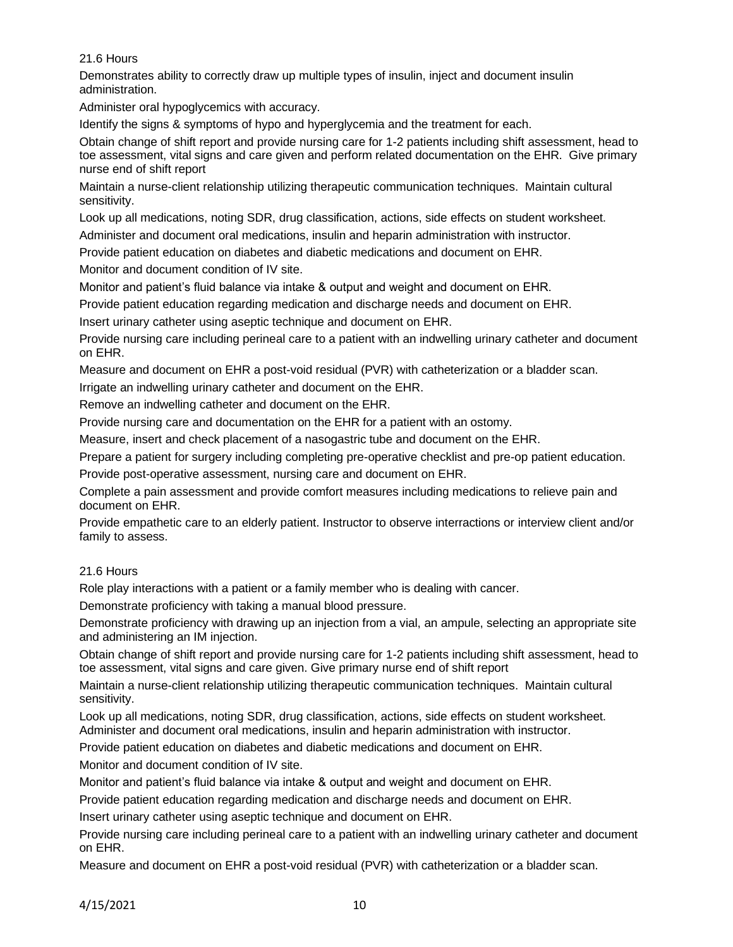Demonstrates ability to correctly draw up multiple types of insulin, inject and document insulin administration.

Administer oral hypoglycemics with accuracy.

Identify the signs & symptoms of hypo and hyperglycemia and the treatment for each.

Obtain change of shift report and provide nursing care for 1-2 patients including shift assessment, head to toe assessment, vital signs and care given and perform related documentation on the EHR. Give primary nurse end of shift report

Maintain a nurse-client relationship utilizing therapeutic communication techniques. Maintain cultural sensitivity.

Look up all medications, noting SDR, drug classification, actions, side effects on student worksheet.

Administer and document oral medications, insulin and heparin administration with instructor.

Provide patient education on diabetes and diabetic medications and document on EHR.

Monitor and document condition of IV site.

Monitor and patient's fluid balance via intake & output and weight and document on EHR.

Provide patient education regarding medication and discharge needs and document on EHR.

Insert urinary catheter using aseptic technique and document on EHR.

Provide nursing care including perineal care to a patient with an indwelling urinary catheter and document on EHR.

Measure and document on EHR a post-void residual (PVR) with catheterization or a bladder scan.

Irrigate an indwelling urinary catheter and document on the EHR.

Remove an indwelling catheter and document on the EHR.

Provide nursing care and documentation on the EHR for a patient with an ostomy.

Measure, insert and check placement of a nasogastric tube and document on the EHR.

Prepare a patient for surgery including completing pre-operative checklist and pre-op patient education.

Provide post-operative assessment, nursing care and document on EHR.

Complete a pain assessment and provide comfort measures including medications to relieve pain and document on EHR.

Provide empathetic care to an elderly patient. Instructor to observe interractions or interview client and/or family to assess.

### 21.6 Hours

Role play interactions with a patient or a family member who is dealing with cancer.

Demonstrate proficiency with taking a manual blood pressure.

Demonstrate proficiency with drawing up an injection from a vial, an ampule, selecting an appropriate site and administering an IM injection.

Obtain change of shift report and provide nursing care for 1-2 patients including shift assessment, head to toe assessment, vital signs and care given. Give primary nurse end of shift report

Maintain a nurse-client relationship utilizing therapeutic communication techniques. Maintain cultural sensitivity.

Look up all medications, noting SDR, drug classification, actions, side effects on student worksheet. Administer and document oral medications, insulin and heparin administration with instructor.

Provide patient education on diabetes and diabetic medications and document on EHR.

Monitor and document condition of IV site.

Monitor and patient's fluid balance via intake & output and weight and document on EHR.

Provide patient education regarding medication and discharge needs and document on EHR.

Insert urinary catheter using aseptic technique and document on EHR.

Provide nursing care including perineal care to a patient with an indwelling urinary catheter and document on EHR.

Measure and document on EHR a post-void residual (PVR) with catheterization or a bladder scan.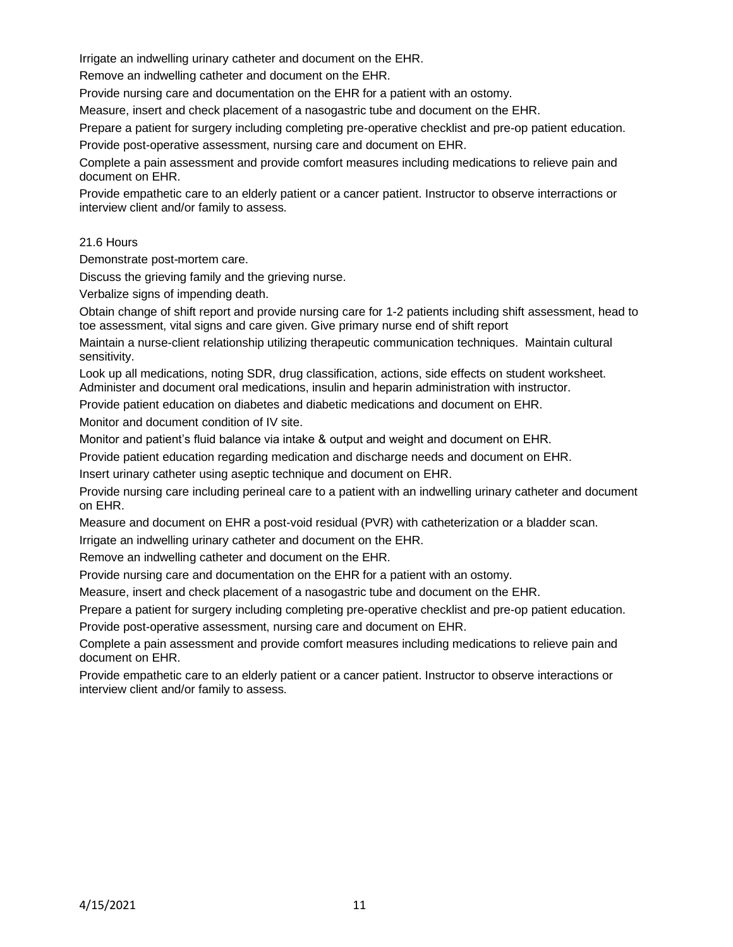Irrigate an indwelling urinary catheter and document on the EHR.

Remove an indwelling catheter and document on the EHR.

Provide nursing care and documentation on the EHR for a patient with an ostomy.

Measure, insert and check placement of a nasogastric tube and document on the EHR.

Prepare a patient for surgery including completing pre-operative checklist and pre-op patient education.

Provide post-operative assessment, nursing care and document on EHR.

Complete a pain assessment and provide comfort measures including medications to relieve pain and document on EHR.

Provide empathetic care to an elderly patient or a cancer patient. Instructor to observe interractions or interview client and/or family to assess.

## 21.6 Hours

Demonstrate post-mortem care.

Discuss the grieving family and the grieving nurse.

Verbalize signs of impending death.

Obtain change of shift report and provide nursing care for 1-2 patients including shift assessment, head to toe assessment, vital signs and care given. Give primary nurse end of shift report

Maintain a nurse-client relationship utilizing therapeutic communication techniques. Maintain cultural sensitivity.

Look up all medications, noting SDR, drug classification, actions, side effects on student worksheet. Administer and document oral medications, insulin and heparin administration with instructor.

Provide patient education on diabetes and diabetic medications and document on EHR.

Monitor and document condition of IV site.

Monitor and patient's fluid balance via intake & output and weight and document on EHR.

Provide patient education regarding medication and discharge needs and document on EHR.

Insert urinary catheter using aseptic technique and document on EHR.

Provide nursing care including perineal care to a patient with an indwelling urinary catheter and document on EHR.

Measure and document on EHR a post-void residual (PVR) with catheterization or a bladder scan.

Irrigate an indwelling urinary catheter and document on the EHR.

Remove an indwelling catheter and document on the EHR.

Provide nursing care and documentation on the EHR for a patient with an ostomy.

Measure, insert and check placement of a nasogastric tube and document on the EHR.

Prepare a patient for surgery including completing pre-operative checklist and pre-op patient education.

Provide post-operative assessment, nursing care and document on EHR.

Complete a pain assessment and provide comfort measures including medications to relieve pain and document on EHR.

Provide empathetic care to an elderly patient or a cancer patient. Instructor to observe interactions or interview client and/or family to assess.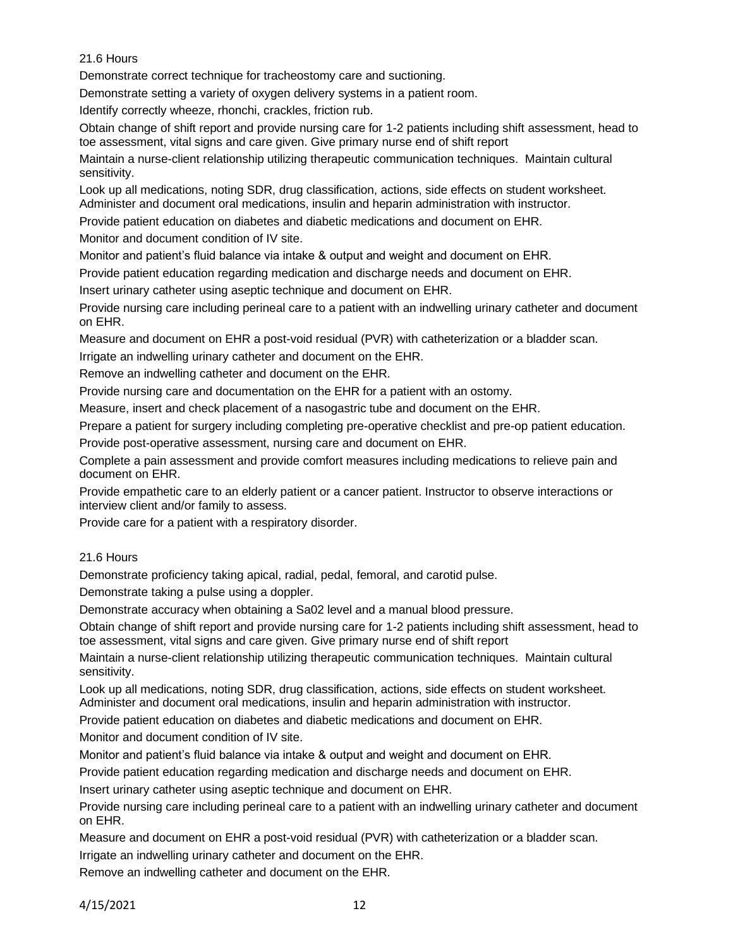Demonstrate correct technique for tracheostomy care and suctioning.

Demonstrate setting a variety of oxygen delivery systems in a patient room.

Identify correctly wheeze, rhonchi, crackles, friction rub.

Obtain change of shift report and provide nursing care for 1-2 patients including shift assessment, head to toe assessment, vital signs and care given. Give primary nurse end of shift report

Maintain a nurse-client relationship utilizing therapeutic communication techniques. Maintain cultural sensitivity.

Look up all medications, noting SDR, drug classification, actions, side effects on student worksheet. Administer and document oral medications, insulin and heparin administration with instructor.

Provide patient education on diabetes and diabetic medications and document on EHR.

Monitor and document condition of IV site.

Monitor and patient's fluid balance via intake & output and weight and document on EHR.

Provide patient education regarding medication and discharge needs and document on EHR.

Insert urinary catheter using aseptic technique and document on EHR.

Provide nursing care including perineal care to a patient with an indwelling urinary catheter and document on EHR.

Measure and document on EHR a post-void residual (PVR) with catheterization or a bladder scan.

Irrigate an indwelling urinary catheter and document on the EHR.

Remove an indwelling catheter and document on the EHR.

Provide nursing care and documentation on the EHR for a patient with an ostomy.

Measure, insert and check placement of a nasogastric tube and document on the EHR.

Prepare a patient for surgery including completing pre-operative checklist and pre-op patient education.

Provide post-operative assessment, nursing care and document on EHR.

Complete a pain assessment and provide comfort measures including medications to relieve pain and document on EHR.

Provide empathetic care to an elderly patient or a cancer patient. Instructor to observe interactions or interview client and/or family to assess.

Provide care for a patient with a respiratory disorder.

### 21.6 Hours

Demonstrate proficiency taking apical, radial, pedal, femoral, and carotid pulse.

Demonstrate taking a pulse using a doppler.

Demonstrate accuracy when obtaining a Sa02 level and a manual blood pressure.

Obtain change of shift report and provide nursing care for 1-2 patients including shift assessment, head to toe assessment, vital signs and care given. Give primary nurse end of shift report

Maintain a nurse-client relationship utilizing therapeutic communication techniques. Maintain cultural sensitivity.

Look up all medications, noting SDR, drug classification, actions, side effects on student worksheet. Administer and document oral medications, insulin and heparin administration with instructor.

Provide patient education on diabetes and diabetic medications and document on EHR.

Monitor and document condition of IV site.

Monitor and patient's fluid balance via intake & output and weight and document on EHR.

Provide patient education regarding medication and discharge needs and document on EHR.

Insert urinary catheter using aseptic technique and document on EHR.

Provide nursing care including perineal care to a patient with an indwelling urinary catheter and document on EHR.

Measure and document on EHR a post-void residual (PVR) with catheterization or a bladder scan.

Irrigate an indwelling urinary catheter and document on the EHR.

Remove an indwelling catheter and document on the EHR.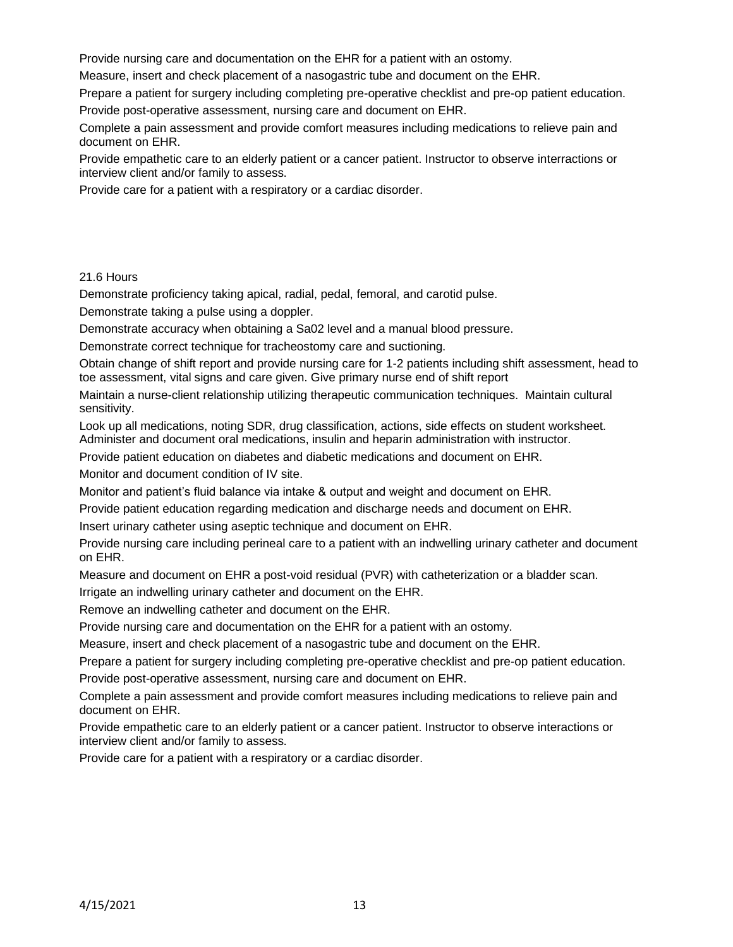Provide nursing care and documentation on the EHR for a patient with an ostomy.

Measure, insert and check placement of a nasogastric tube and document on the EHR.

Prepare a patient for surgery including completing pre-operative checklist and pre-op patient education. Provide post-operative assessment, nursing care and document on EHR.

Complete a pain assessment and provide comfort measures including medications to relieve pain and document on EHR.

Provide empathetic care to an elderly patient or a cancer patient. Instructor to observe interractions or interview client and/or family to assess.

Provide care for a patient with a respiratory or a cardiac disorder.

### 21.6 Hours

Demonstrate proficiency taking apical, radial, pedal, femoral, and carotid pulse.

Demonstrate taking a pulse using a doppler.

Demonstrate accuracy when obtaining a Sa02 level and a manual blood pressure.

Demonstrate correct technique for tracheostomy care and suctioning.

Obtain change of shift report and provide nursing care for 1-2 patients including shift assessment, head to toe assessment, vital signs and care given. Give primary nurse end of shift report

Maintain a nurse-client relationship utilizing therapeutic communication techniques. Maintain cultural sensitivity.

Look up all medications, noting SDR, drug classification, actions, side effects on student worksheet. Administer and document oral medications, insulin and heparin administration with instructor.

Provide patient education on diabetes and diabetic medications and document on EHR.

Monitor and document condition of IV site.

Monitor and patient's fluid balance via intake & output and weight and document on EHR.

Provide patient education regarding medication and discharge needs and document on EHR.

Insert urinary catheter using aseptic technique and document on EHR.

Provide nursing care including perineal care to a patient with an indwelling urinary catheter and document on EHR.

Measure and document on EHR a post-void residual (PVR) with catheterization or a bladder scan.

Irrigate an indwelling urinary catheter and document on the EHR.

Remove an indwelling catheter and document on the EHR.

Provide nursing care and documentation on the EHR for a patient with an ostomy.

Measure, insert and check placement of a nasogastric tube and document on the EHR.

Prepare a patient for surgery including completing pre-operative checklist and pre-op patient education.

Provide post-operative assessment, nursing care and document on EHR.

Complete a pain assessment and provide comfort measures including medications to relieve pain and document on EHR.

Provide empathetic care to an elderly patient or a cancer patient. Instructor to observe interactions or interview client and/or family to assess.

Provide care for a patient with a respiratory or a cardiac disorder.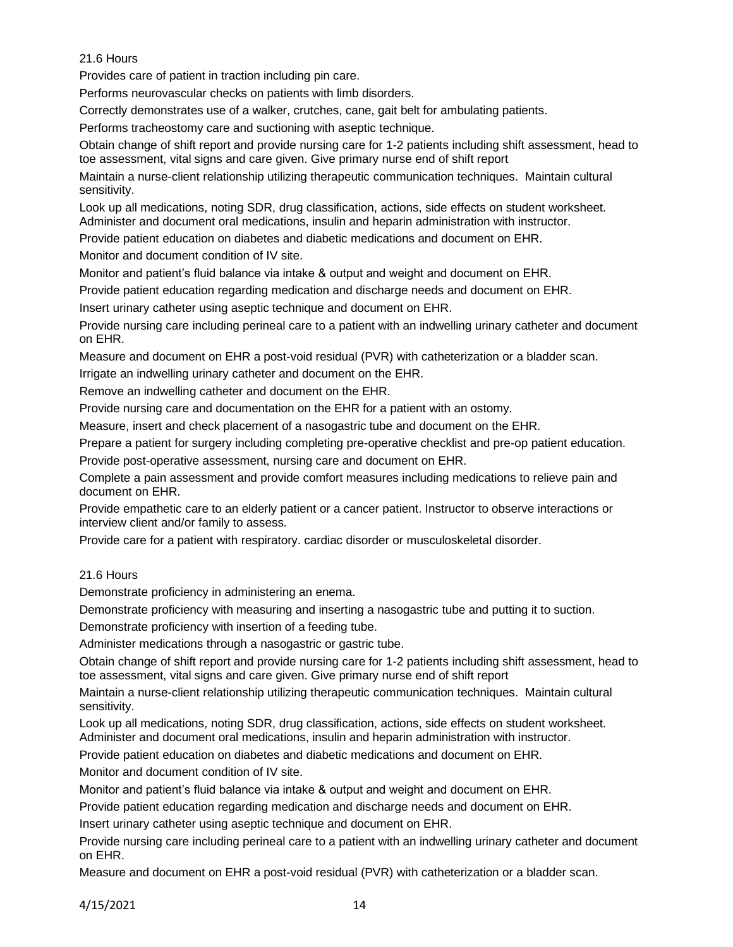Provides care of patient in traction including pin care.

Performs neurovascular checks on patients with limb disorders.

Correctly demonstrates use of a walker, crutches, cane, gait belt for ambulating patients.

Performs tracheostomy care and suctioning with aseptic technique.

Obtain change of shift report and provide nursing care for 1-2 patients including shift assessment, head to toe assessment, vital signs and care given. Give primary nurse end of shift report

Maintain a nurse-client relationship utilizing therapeutic communication techniques. Maintain cultural sensitivity.

Look up all medications, noting SDR, drug classification, actions, side effects on student worksheet. Administer and document oral medications, insulin and heparin administration with instructor.

Provide patient education on diabetes and diabetic medications and document on EHR.

Monitor and document condition of IV site.

Monitor and patient's fluid balance via intake & output and weight and document on EHR.

Provide patient education regarding medication and discharge needs and document on EHR.

Insert urinary catheter using aseptic technique and document on EHR.

Provide nursing care including perineal care to a patient with an indwelling urinary catheter and document on EHR.

Measure and document on EHR a post-void residual (PVR) with catheterization or a bladder scan.

Irrigate an indwelling urinary catheter and document on the EHR.

Remove an indwelling catheter and document on the EHR.

Provide nursing care and documentation on the EHR for a patient with an ostomy.

Measure, insert and check placement of a nasogastric tube and document on the EHR.

Prepare a patient for surgery including completing pre-operative checklist and pre-op patient education.

Provide post-operative assessment, nursing care and document on EHR.

Complete a pain assessment and provide comfort measures including medications to relieve pain and document on EHR.

Provide empathetic care to an elderly patient or a cancer patient. Instructor to observe interactions or interview client and/or family to assess.

Provide care for a patient with respiratory. cardiac disorder or musculoskeletal disorder.

# 21.6 Hours

Demonstrate proficiency in administering an enema.

Demonstrate proficiency with measuring and inserting a nasogastric tube and putting it to suction.

Demonstrate proficiency with insertion of a feeding tube.

Administer medications through a nasogastric or gastric tube.

Obtain change of shift report and provide nursing care for 1-2 patients including shift assessment, head to toe assessment, vital signs and care given. Give primary nurse end of shift report

Maintain a nurse-client relationship utilizing therapeutic communication techniques. Maintain cultural sensitivity.

Look up all medications, noting SDR, drug classification, actions, side effects on student worksheet. Administer and document oral medications, insulin and heparin administration with instructor.

Provide patient education on diabetes and diabetic medications and document on EHR.

Monitor and document condition of IV site.

Monitor and patient's fluid balance via intake & output and weight and document on EHR.

Provide patient education regarding medication and discharge needs and document on EHR.

Insert urinary catheter using aseptic technique and document on EHR.

Provide nursing care including perineal care to a patient with an indwelling urinary catheter and document on EHR.

Measure and document on EHR a post-void residual (PVR) with catheterization or a bladder scan.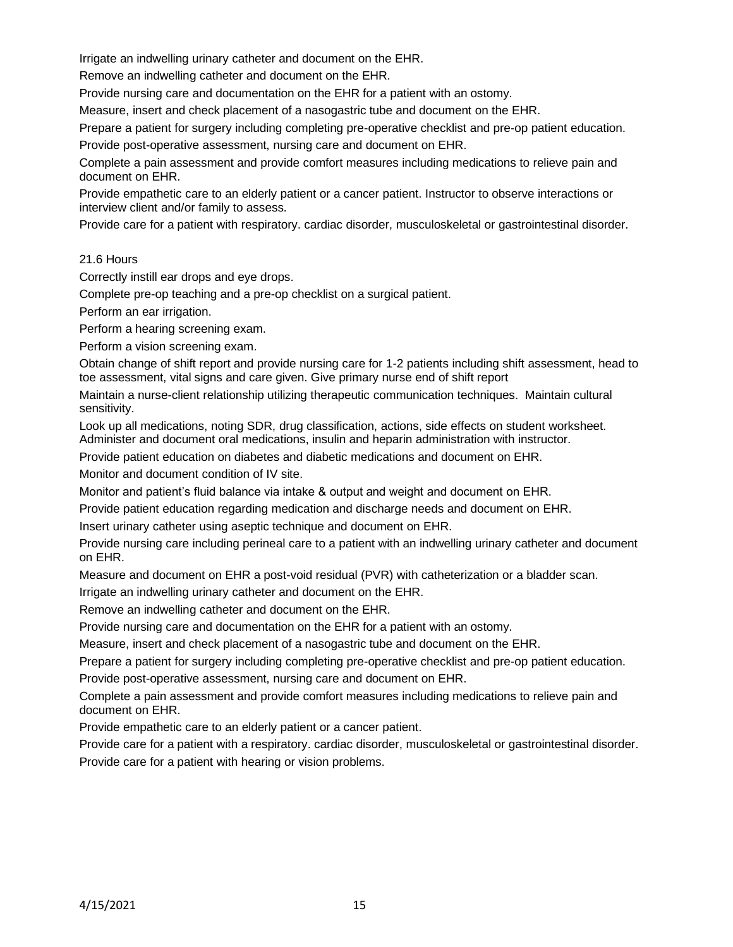Irrigate an indwelling urinary catheter and document on the EHR.

Remove an indwelling catheter and document on the EHR.

Provide nursing care and documentation on the EHR for a patient with an ostomy.

Measure, insert and check placement of a nasogastric tube and document on the EHR.

Prepare a patient for surgery including completing pre-operative checklist and pre-op patient education.

Provide post-operative assessment, nursing care and document on EHR.

Complete a pain assessment and provide comfort measures including medications to relieve pain and document on EHR.

Provide empathetic care to an elderly patient or a cancer patient. Instructor to observe interactions or interview client and/or family to assess.

Provide care for a patient with respiratory. cardiac disorder, musculoskeletal or gastrointestinal disorder.

## 21.6 Hours

Correctly instill ear drops and eye drops.

Complete pre-op teaching and a pre-op checklist on a surgical patient.

Perform an ear irrigation.

Perform a hearing screening exam.

Perform a vision screening exam.

Obtain change of shift report and provide nursing care for 1-2 patients including shift assessment, head to toe assessment, vital signs and care given. Give primary nurse end of shift report

Maintain a nurse-client relationship utilizing therapeutic communication techniques. Maintain cultural sensitivity.

Look up all medications, noting SDR, drug classification, actions, side effects on student worksheet. Administer and document oral medications, insulin and heparin administration with instructor.

Provide patient education on diabetes and diabetic medications and document on EHR.

Monitor and document condition of IV site.

Monitor and patient's fluid balance via intake & output and weight and document on EHR.

Provide patient education regarding medication and discharge needs and document on EHR.

Insert urinary catheter using aseptic technique and document on EHR.

Provide nursing care including perineal care to a patient with an indwelling urinary catheter and document on EHR.

Measure and document on EHR a post-void residual (PVR) with catheterization or a bladder scan.

Irrigate an indwelling urinary catheter and document on the EHR.

Remove an indwelling catheter and document on the EHR.

Provide nursing care and documentation on the EHR for a patient with an ostomy.

Measure, insert and check placement of a nasogastric tube and document on the EHR.

Prepare a patient for surgery including completing pre-operative checklist and pre-op patient education. Provide post-operative assessment, nursing care and document on EHR.

Complete a pain assessment and provide comfort measures including medications to relieve pain and document on EHR.

Provide empathetic care to an elderly patient or a cancer patient.

Provide care for a patient with a respiratory. cardiac disorder, musculoskeletal or gastrointestinal disorder. Provide care for a patient with hearing or vision problems.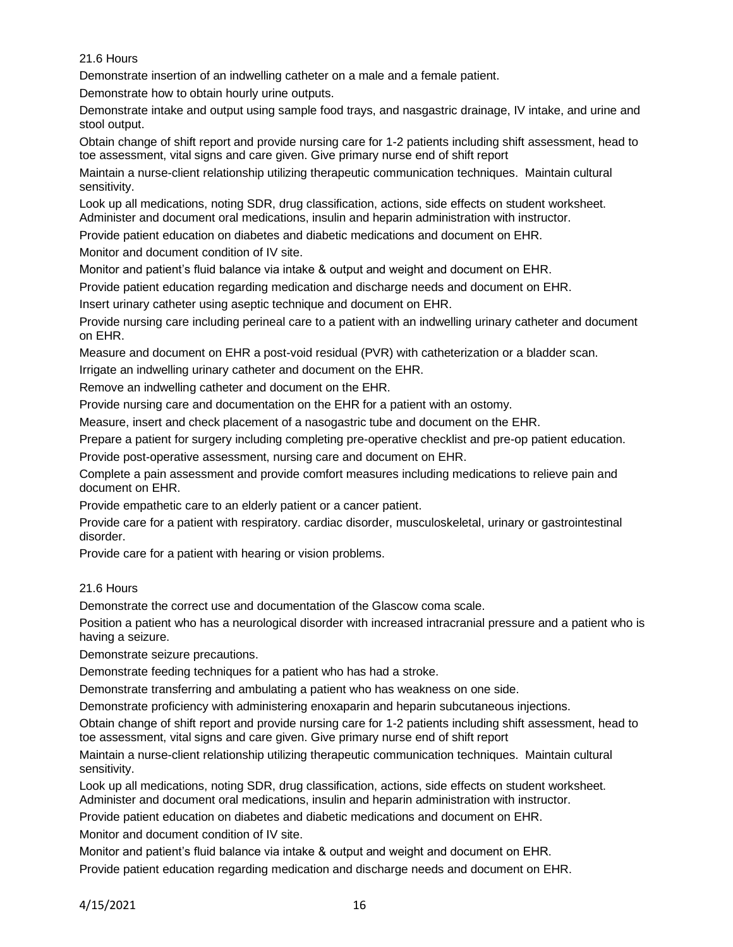Demonstrate insertion of an indwelling catheter on a male and a female patient.

Demonstrate how to obtain hourly urine outputs.

Demonstrate intake and output using sample food trays, and nasgastric drainage, IV intake, and urine and stool output.

Obtain change of shift report and provide nursing care for 1-2 patients including shift assessment, head to toe assessment, vital signs and care given. Give primary nurse end of shift report

Maintain a nurse-client relationship utilizing therapeutic communication techniques. Maintain cultural sensitivity.

Look up all medications, noting SDR, drug classification, actions, side effects on student worksheet. Administer and document oral medications, insulin and heparin administration with instructor.

Provide patient education on diabetes and diabetic medications and document on EHR.

Monitor and document condition of IV site.

Monitor and patient's fluid balance via intake & output and weight and document on EHR.

Provide patient education regarding medication and discharge needs and document on EHR.

Insert urinary catheter using aseptic technique and document on EHR.

Provide nursing care including perineal care to a patient with an indwelling urinary catheter and document on EHR.

Measure and document on EHR a post-void residual (PVR) with catheterization or a bladder scan.

Irrigate an indwelling urinary catheter and document on the EHR.

Remove an indwelling catheter and document on the EHR.

Provide nursing care and documentation on the EHR for a patient with an ostomy.

Measure, insert and check placement of a nasogastric tube and document on the EHR.

Prepare a patient for surgery including completing pre-operative checklist and pre-op patient education.

Provide post-operative assessment, nursing care and document on EHR.

Complete a pain assessment and provide comfort measures including medications to relieve pain and document on EHR.

Provide empathetic care to an elderly patient or a cancer patient.

Provide care for a patient with respiratory. cardiac disorder, musculoskeletal, urinary or gastrointestinal disorder.

Provide care for a patient with hearing or vision problems.

# 21.6 Hours

Demonstrate the correct use and documentation of the Glascow coma scale.

Position a patient who has a neurological disorder with increased intracranial pressure and a patient who is having a seizure.

Demonstrate seizure precautions.

Demonstrate feeding techniques for a patient who has had a stroke.

Demonstrate transferring and ambulating a patient who has weakness on one side.

Demonstrate proficiency with administering enoxaparin and heparin subcutaneous injections.

Obtain change of shift report and provide nursing care for 1-2 patients including shift assessment, head to toe assessment, vital signs and care given. Give primary nurse end of shift report

Maintain a nurse-client relationship utilizing therapeutic communication techniques. Maintain cultural sensitivity.

Look up all medications, noting SDR, drug classification, actions, side effects on student worksheet. Administer and document oral medications, insulin and heparin administration with instructor.

Provide patient education on diabetes and diabetic medications and document on EHR.

Monitor and document condition of IV site.

Monitor and patient's fluid balance via intake & output and weight and document on EHR.

Provide patient education regarding medication and discharge needs and document on EHR.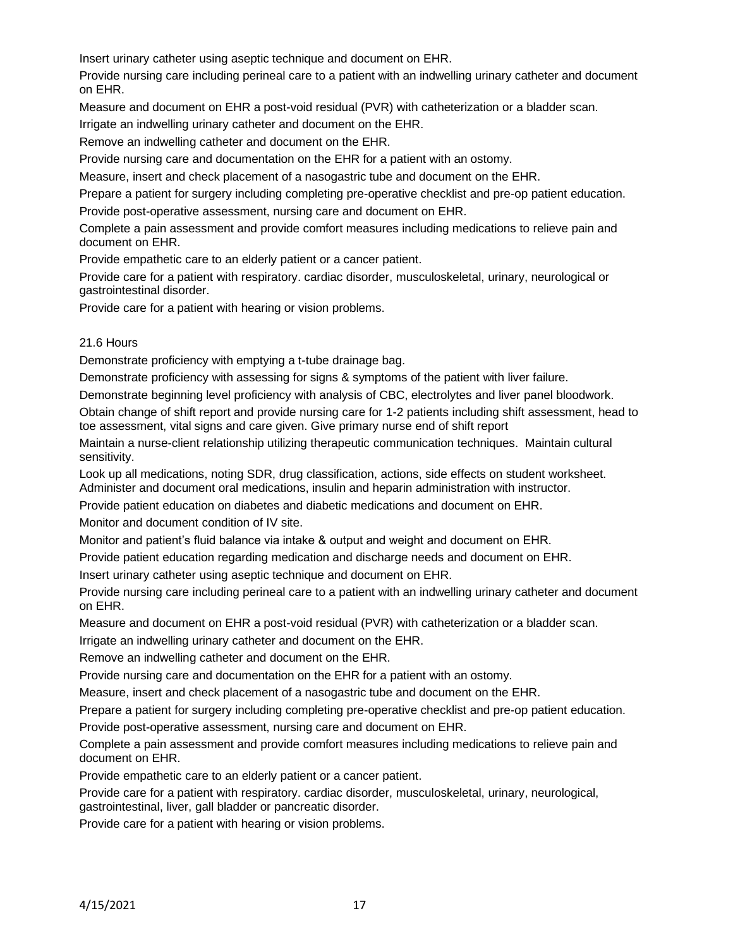Insert urinary catheter using aseptic technique and document on EHR.

Provide nursing care including perineal care to a patient with an indwelling urinary catheter and document on EHR.

Measure and document on EHR a post-void residual (PVR) with catheterization or a bladder scan.

Irrigate an indwelling urinary catheter and document on the EHR.

Remove an indwelling catheter and document on the EHR.

Provide nursing care and documentation on the EHR for a patient with an ostomy.

Measure, insert and check placement of a nasogastric tube and document on the EHR.

Prepare a patient for surgery including completing pre-operative checklist and pre-op patient education. Provide post-operative assessment, nursing care and document on EHR.

Complete a pain assessment and provide comfort measures including medications to relieve pain and document on EHR.

Provide empathetic care to an elderly patient or a cancer patient.

Provide care for a patient with respiratory. cardiac disorder, musculoskeletal, urinary, neurological or gastrointestinal disorder.

Provide care for a patient with hearing or vision problems.

### 21.6 Hours

Demonstrate proficiency with emptying a t-tube drainage bag.

Demonstrate proficiency with assessing for signs & symptoms of the patient with liver failure.

Demonstrate beginning level proficiency with analysis of CBC, electrolytes and liver panel bloodwork.

Obtain change of shift report and provide nursing care for 1-2 patients including shift assessment, head to toe assessment, vital signs and care given. Give primary nurse end of shift report

Maintain a nurse-client relationship utilizing therapeutic communication techniques. Maintain cultural sensitivity.

Look up all medications, noting SDR, drug classification, actions, side effects on student worksheet. Administer and document oral medications, insulin and heparin administration with instructor.

Provide patient education on diabetes and diabetic medications and document on EHR.

Monitor and document condition of IV site.

Monitor and patient's fluid balance via intake & output and weight and document on EHR.

Provide patient education regarding medication and discharge needs and document on EHR.

Insert urinary catheter using aseptic technique and document on EHR.

Provide nursing care including perineal care to a patient with an indwelling urinary catheter and document on EHR.

Measure and document on EHR a post-void residual (PVR) with catheterization or a bladder scan.

Irrigate an indwelling urinary catheter and document on the EHR.

Remove an indwelling catheter and document on the EHR.

Provide nursing care and documentation on the EHR for a patient with an ostomy.

Measure, insert and check placement of a nasogastric tube and document on the EHR.

Prepare a patient for surgery including completing pre-operative checklist and pre-op patient education.

Provide post-operative assessment, nursing care and document on EHR.

Complete a pain assessment and provide comfort measures including medications to relieve pain and document on EHR.

Provide empathetic care to an elderly patient or a cancer patient.

Provide care for a patient with respiratory. cardiac disorder, musculoskeletal, urinary, neurological, gastrointestinal, liver, gall bladder or pancreatic disorder.

Provide care for a patient with hearing or vision problems.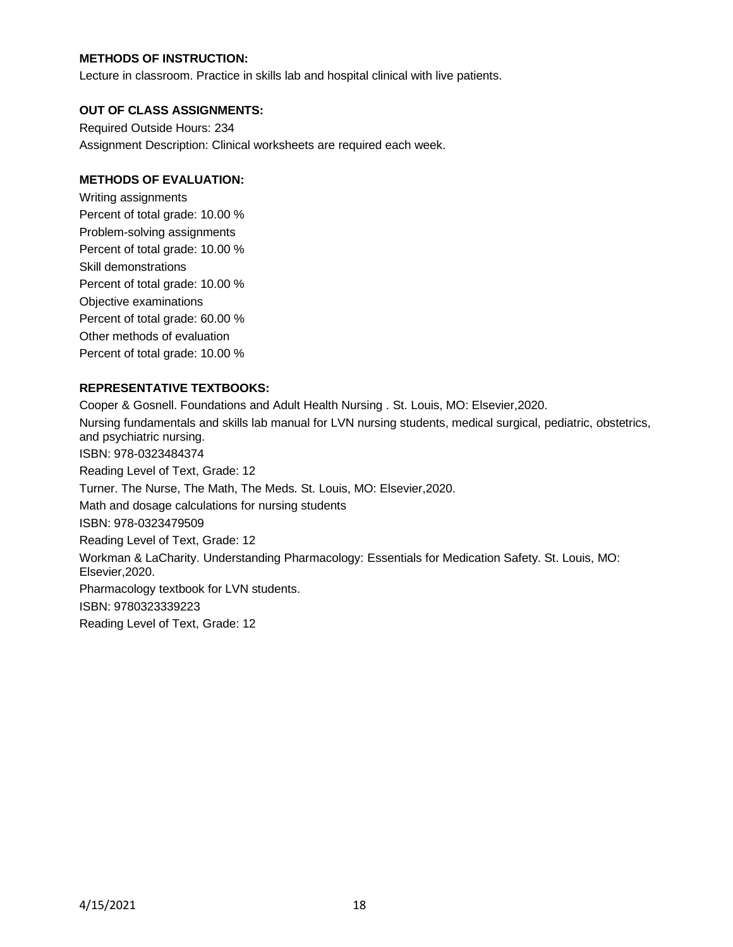### **METHODS OF INSTRUCTION:**

Lecture in classroom. Practice in skills lab and hospital clinical with live patients.

#### **OUT OF CLASS ASSIGNMENTS:**

Required Outside Hours: 234 Assignment Description: Clinical worksheets are required each week.

#### **METHODS OF EVALUATION:**

Writing assignments Percent of total grade: 10.00 % Problem-solving assignments Percent of total grade: 10.00 % Skill demonstrations Percent of total grade: 10.00 % Objective examinations Percent of total grade: 60.00 % Other methods of evaluation Percent of total grade: 10.00 %

### **REPRESENTATIVE TEXTBOOKS:**

Cooper & Gosnell. Foundations and Adult Health Nursing . St. Louis, MO: Elsevier,2020. Nursing fundamentals and skills lab manual for LVN nursing students, medical surgical, pediatric, obstetrics, and psychiatric nursing. ISBN: 978-0323484374 Reading Level of Text, Grade: 12 Turner. The Nurse, The Math, The Meds. St. Louis, MO: Elsevier,2020. Math and dosage calculations for nursing students ISBN: 978-0323479509 Reading Level of Text, Grade: 12 Workman & LaCharity. Understanding Pharmacology: Essentials for Medication Safety. St. Louis, MO: Elsevier,2020. Pharmacology textbook for LVN students. ISBN: 9780323339223 Reading Level of Text, Grade: 12